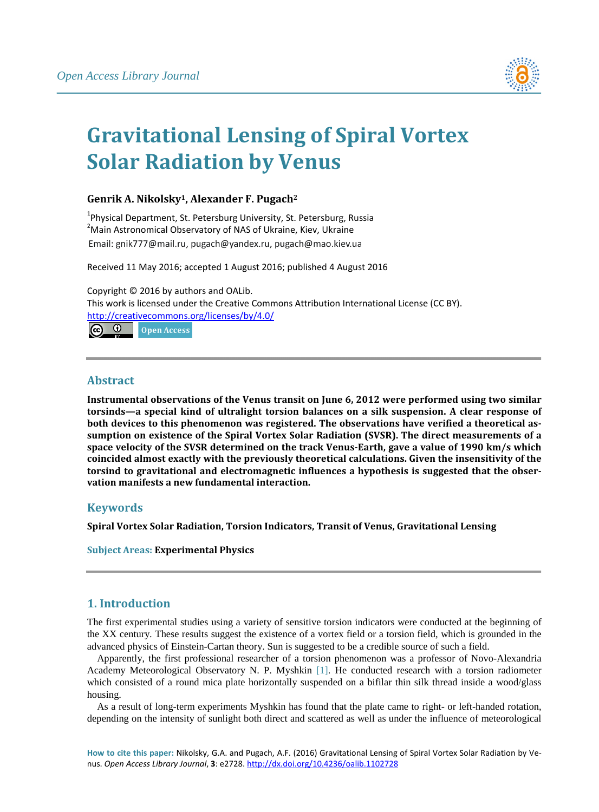

# **Gravitational Lensing of Spiral Vortex Solar Radiation by Venus**

## **Genrik A. Nikolsky1, Alexander F. Pugach2**

<sup>1</sup> Physical Department, St. Petersburg University, St. Petersburg, Russia<br><sup>2</sup> Main Actronomical Observatory of NAS of Ulraine, Kiev, Ulraine Main Astronomical Observatory of NAS of Ukraine, Kiev, Ukraine Email: gnik777@mail.ru. pugach@vandex.ru. pugach@mao.kiev.ua

Received 11 May 2016; accepted 1 August 2016; published 4 August 2016

Copyright © 2016 by authors and OALib. This work is licensed under the Creative Commons Attribution International License (CC BY). <http://creativecommons.org/licenses/by/4.0/>



## **Abstract**

**Instrumental observations of the Venus transit on June 6, 2012 were performed using two similar torsinds—a special kind of ultralight torsion balances on a silk suspension. A clear response of both devices to this phenomenon was registered. The observations have verified a theoretical assumption on existence of the Spiral Vortex Solar Radiation (SVSR). The direct measurements of a space velocity of the SVSR determined on the track Venus-Earth, gave a value of 1990 km/s which coincided almost exactly with the previously theoretical calculations. Given the insensitivity of the torsind to gravitational and electromagnetic influences a hypothesis is suggested that the observation manifests a new fundamental interaction.**

## **Keywords**

**Spiral Vortex Solar Radiation, Torsion Indicators, Transit of Venus, Gravitational Lensing**

**Subject Areas: Experimental Physics**

## **1. Introduction**

The first experimental studies using a variety of sensitive torsion indicators were conducted at the beginning of the XX century. These results suggest the existence of a vortex field or a torsion field, which is grounded in the advanced physics of Einstein-Cartan theory. Sun is suggested to be a credible source of such a field.

Apparently, the first professional researcher of a torsion phenomenon was a professor of Novo-Alexandria Academy Meteorological Observatory N. P. Myshkin [\[1\].](#page-9-0) He conducted research with a torsion radiometer which consisted of a round mica plate horizontally suspended on a bifilar thin silk thread inside a wood/glass housing.

As a result of long-term experiments Myshkin has found that the plate came to right- or left-handed rotation, depending on the intensity of sunlight both direct and scattered as well as under the influence of meteorological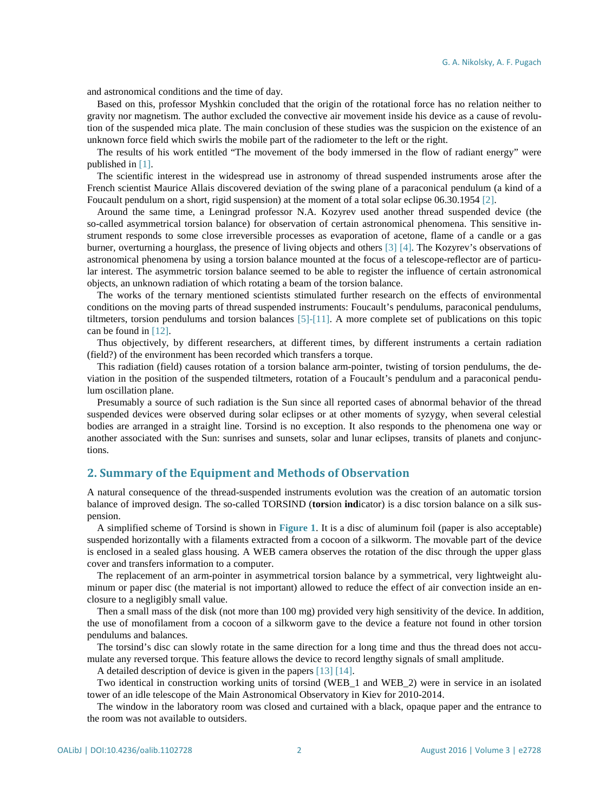and astronomical conditions and the time of day.

Based on this, professor Myshkin concluded that the origin of the rotational force has no relation neither to gravity nor magnetism. The author excluded the convective air movement inside his device as a cause of revolution of the suspended mica plate. The main conclusion of these studies was the suspicion on the existence of an unknown force field which swirls the mobile part of the radiometer to the left or the right.

The results of his work entitled "The movement of the body immersed in the flow of radiant energy" were published in [\[1\].](#page-9-0)

The scientific interest in the widespread use in astronomy of thread suspended instruments arose after the French scientist Maurice Allais discovered deviation of the swing plane of a paraconical pendulum (a kind of a Foucault pendulum on a short, rigid suspension) at the moment of a total solar eclipse 06.30.1954 [\[2\].](#page-9-1)

Around the same time, a Leningrad professor N.A. Kozyrev used another thread suspended device (the so-called asymmetrical torsion balance) for observation of certain astronomical phenomena. This sensitive instrument responds to some close irreversible processes as evaporation of acetone, flame of a candle or a gas burner, overturning a hourglass, the presence of living objects and others [\[3\]](#page-9-2) [\[4\].](#page-9-3) The Kozyrev's observations of astronomical phenomena by using a torsion balance mounted at the focus of a telescope-reflector are of particular interest. The asymmetric torsion balance seemed to be able to register the influence of certain astronomical objects, an unknown radiation of which rotating a beam of the torsion balance.

The works of the ternary mentioned scientists stimulated further research on the effects of environmental conditions on the moving parts of thread suspended instruments: Foucault's pendulums, paraconical pendulums, tiltmeters, torsion pendulums and torsion balances [\[5\]-](#page-9-4)[\[11\].](#page-9-5) A more complete set of publications on this topic can be found in [\[12\].](#page-9-6)

Thus objectively, by different researchers, at different times, by different instruments a certain radiation (field?) of the environment has been recorded which transfers a torque.

This radiation (field) causes rotation of a torsion balance arm-pointer, twisting of torsion pendulums, the deviation in the position of the suspended tiltmeters, rotation of a Foucault's pendulum and a paraconical pendulum oscillation plane.

Presumably a source of such radiation is the Sun since all reported cases of abnormal behavior of the thread suspended devices were observed during solar eclipses or at other moments of syzygy, when several celestial bodies are arranged in a straight line. Torsind is no exception. It also responds to the phenomena one way or another associated with the Sun: sunrises and sunsets, solar and lunar eclipses, transits of planets and conjunctions.

### **2. Summary of the Equipment and Methods of Observation**

A natural consequence of the thread-suspended instruments evolution was the creation of an automatic torsion balance of improved design. The so-called TORSIND (**tors**ion **ind**icator) is a disc torsion balance on a silk suspension.

A simplified scheme of Torsind is shown in **[Figure](#page-2-0) 1**. It is a disc of aluminum foil (paper is also acceptable) suspended horizontally with a filaments extracted from a cocoon of a silkworm. The movable part of the device is enclosed in a sealed glass housing. A WEB camera observes the rotation of the disc through the upper glass cover and transfers information to a computer.

The replacement of an arm-pointer in asymmetrical torsion balance by a symmetrical, very lightweight aluminum or paper disc (the material is not important) allowed to reduce the effect of air convection inside an enclosure to a negligibly small value.

Then a small mass of the disk (not more than 100 mg) provided very high sensitivity of the device. In addition, the use of monofilament from a cocoon of a silkworm gave to the device a feature not found in other torsion pendulums and balances.

The torsind's disc can slowly rotate in the same direction for a long time and thus the thread does not accumulate any reversed torque. This feature allows the device to record lengthy signals of small amplitude.

A detailed description of device is given in the papers [\[13\]](#page-9-7) [\[14\].](#page-9-8)

Two identical in construction working units of torsind (WEB\_1 and WEB\_2) were in service in an isolated tower of an idle telescope of the Main Astronomical Observatory in Kiev for 2010-2014.

The window in the laboratory room was closed and curtained with a black, opaque paper and the entrance to the room was not available to outsiders.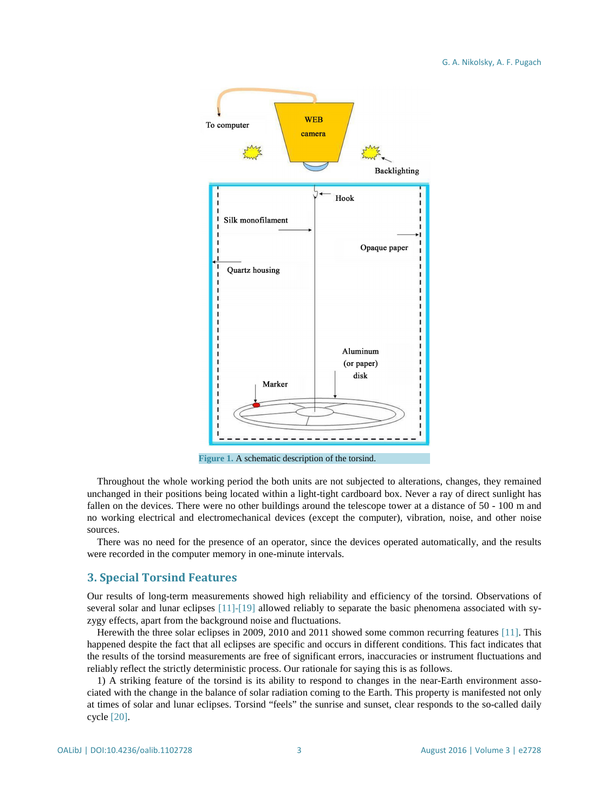<span id="page-2-0"></span>

**Figure 1.** A schematic description of the torsind.

Throughout the whole working period the both units are not subjected to alterations, changes, they remained unchanged in their positions being located within a light-tight cardboard box. Never a ray of direct sunlight has fallen on the devices. There were no other buildings around the telescope tower at a distance of 50 - 100 m and no working electrical and electromechanical devices (except the computer), vibration, noise, and other noise sources.

There was no need for the presence of an operator, since the devices operated automatically, and the results were recorded in the computer memory in one-minute intervals.

## **3. Special Torsind Features**

Our results of long-term measurements showed high reliability and efficiency of the torsind. Observations of several solar and lunar eclipses [\[11\]](#page-9-5)[-\[19\]](#page-9-9) allowed reliably to separate the basic phenomena associated with syzygy effects, apart from the background noise and fluctuations.

Herewith the three solar eclipses in 2009, 2010 and 2011 showed some common recurring features [\[11\].](#page-9-5) This happened despite the fact that all eclipses are specific and occurs in different conditions. This fact indicates that the results of the torsind measurements are free of significant errors, inaccuracies or instrument fluctuations and reliably reflect the strictly deterministic process. Our rationale for saying this is as follows.

1) A striking feature of the torsind is its ability to respond to changes in the near-Earth environment associated with the change in the balance of solar radiation coming to the Earth. This property is manifested not only at times of solar and lunar eclipses. Torsind "feels" the sunrise and sunset, clear responds to the so-called daily cycle [\[20\].](#page-10-0)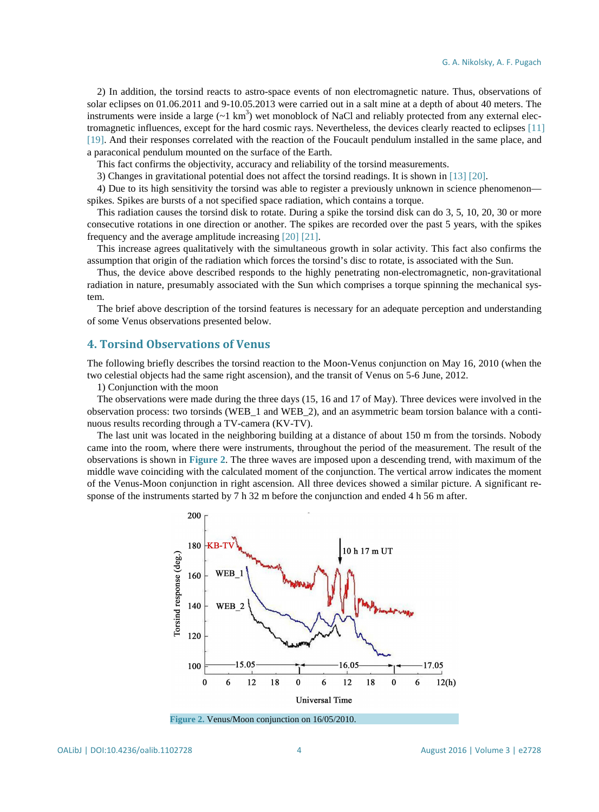2) In addition, the torsind reacts to astro-space events of non electromagnetic nature. Thus, observations of solar eclipses on 01.06.2011 and 9-10.05.2013 were carried out in a salt mine at a depth of about 40 meters. The instruments were inside a large  $(\sim 1 \text{ km}^3)$  wet monoblock of NaCl and reliably protected from any external electromagnetic influences, except for the hard cosmic rays. Nevertheless, the devices clearly reacted to eclipses [\[11\]](#page-9-5) [\[19\].](#page-9-9) And their responses correlated with the reaction of the Foucault pendulum installed in the same place, and a paraconical pendulum mounted on the surface of the Earth.

This fact confirms the objectivity, accuracy and reliability of the torsind measurements.

3) Changes in gravitational potential does not affect the torsind readings. It is shown in [\[13\]](#page-9-7) [\[20\].](#page-10-0)

4) Due to its high sensitivity the torsind was able to register a previously unknown in science phenomenon spikes. Spikes are bursts of a not specified space radiation, which contains a torque.

This radiation causes the torsind disk to rotate. During a spike the torsind disk can do 3, 5, 10, 20, 30 or more consecutive rotations in one direction or another. The spikes are recorded over the past 5 years, with the spikes frequency and the average amplitude increasing [\[20\]](#page-10-0) [\[21\].](#page-10-1)

This increase agrees qualitatively with the simultaneous growth in solar activity. This fact also confirms the assumption that origin of the radiation which forces the torsind's disc to rotate, is associated with the Sun.

Thus, the device above described responds to the highly penetrating non-electromagnetic, non-gravitational radiation in nature, presumably associated with the Sun which comprises a torque spinning the mechanical system.

The brief above description of the torsind features is necessary for an adequate perception and understanding of some Venus observations presented below.

## **4. Torsind Observations of Venus**

The following briefly describes the torsind reaction to the Moon-Venus conjunction on May 16, 2010 (when the two celestial objects had the same right ascension), and the transit of Venus on 5-6 June, 2012.

1) Conjunction with the moon

The observations were made during the three days (15, 16 and 17 of May). Three devices were involved in the observation process: two torsinds (WEB\_1 and WEB\_2), and an asymmetric beam torsion balance with a continuous results recording through a TV-camera (KV-TV).

<span id="page-3-0"></span>The last unit was located in the neighboring building at a distance of about 150 m from the torsinds. Nobody came into the room, where there were instruments, throughout the period of the measurement. The result of the observations is shown in **[Figure](#page-3-0) 2**. The three waves are imposed upon a descending trend, with maximum of the middle wave coinciding with the calculated moment of the conjunction. The vertical arrow indicates the moment of the Venus-Moon conjunction in right ascension. All three devices showed a similar picture. A significant response of the instruments started by 7 h 32 m before the conjunction and ended 4 h 56 m after.



**Figure 2.** Venus/Moon conjunction on 16/05/2010.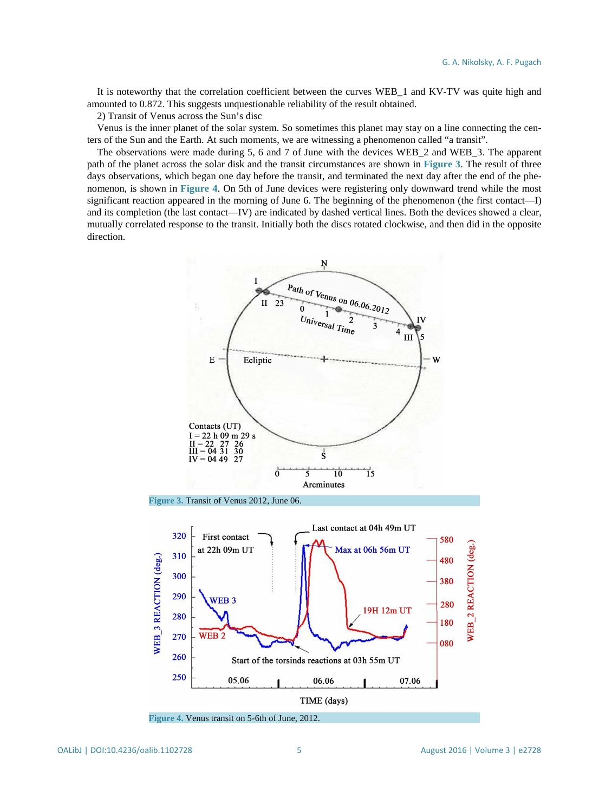It is noteworthy that the correlation coefficient between the curves WEB\_1 and KV-TV was quite high and amounted to 0.872. This suggests unquestionable reliability of the result obtained.

2) Transit of Venus across the Sun's disc

Venus is the inner planet of the solar system. So sometimes this planet may stay on a line connecting the centers of the Sun and the Earth. At such moments, we are witnessing a phenomenon called "a transit".

The observations were made during 5, 6 and 7 of June with the devices WEB\_2 and WEB\_3. The apparent path of the planet across the solar disk and the transit circumstances are shown in **[Figure](#page-4-0) 3**. The result of three days observations, which began one day before the transit, and terminated the next day after the end of the phenomenon, is shown in **[Figure 4](#page-4-1)**. On 5th of June devices were registering only downward trend while the most significant reaction appeared in the morning of June 6. The beginning of the phenomenon (the first contact—I) and its completion (the last contact—IV) are indicated by dashed vertical lines. Both the devices showed a clear, mutually correlated response to the transit. Initially both the discs rotated clockwise, and then did in the opposite direction.

<span id="page-4-0"></span>

<span id="page-4-1"></span>**Figure 4.** Venus transit on 5-6th of June, 2012.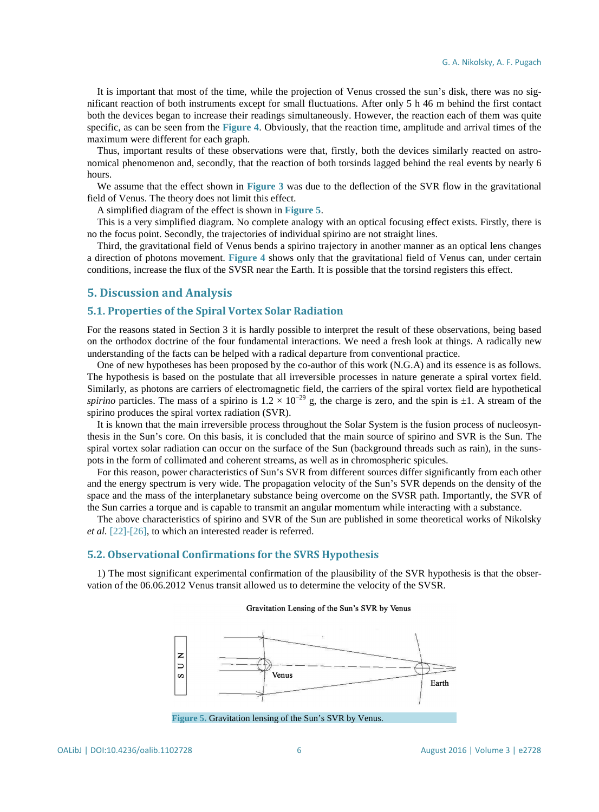It is important that most of the time, while the projection of Venus crossed the sun's disk, there was no significant reaction of both instruments except for small fluctuations. After only 5 h 46 m behind the first contact both the devices began to increase their readings simultaneously. However, the reaction each of them was quite specific, as can be seen from the **[Figure](#page-4-1) 4**. Obviously, that the reaction time, amplitude and arrival times of the maximum were different for each graph.

Thus, important results of these observations were that, firstly, both the devices similarly reacted on astronomical phenomenon and, secondly, that the reaction of both torsinds lagged behind the real events by nearly 6 hours.

We assume that the effect shown in **[Figure](#page-4-0) 3** was due to the deflection of the SVR flow in the gravitational field of Venus. The theory does not limit this effect.

A simplified diagram of the effect is shown in **[Figure 5](#page-5-0)**.

This is a very simplified diagram. No complete analogy with an optical focusing effect exists. Firstly, there is no the focus point. Secondly, the trajectories of individual spirino are not straight lines.

Third, the gravitational field of Venus bends a spirino trajectory in another manner as an optical lens changes a direction of photons movement. **[Figure](#page-4-1) 4** shows only that the gravitational field of Venus can, under certain conditions, increase the flux of the SVSR near the Earth. It is possible that the torsind registers this effect.

## **5. Discussion and Analysis**

## **5.1. Properties of the Spiral Vortex Solar Radiation**

For the reasons stated in Section 3 it is hardly possible to interpret the result of these observations, being based on the orthodox doctrine of the four fundamental interactions. We need a fresh look at things. A radically new understanding of the facts can be helped with a radical departure from conventional practice.

One of new hypotheses has been proposed by the co-author of this work (N.G.A) and its essence is as follows. The hypothesis is based on the postulate that all irreversible processes in nature generate a spiral vortex field. Similarly, as photons are carriers of electromagnetic field, the carriers of the spiral vortex field are hypothetical *spirino* particles. The mass of a spirino is  $1.2 \times 10^{-29}$  g, the charge is zero, and the spin is  $\pm 1$ . A stream of the spirino produces the spiral vortex radiation (SVR).

It is known that the main irreversible process throughout the Solar System is the fusion process of nucleosynthesis in the Sun's core. On this basis, it is concluded that the main source of spirino and SVR is the Sun. The spiral vortex solar radiation can occur on the surface of the Sun (background threads such as rain), in the sunspots in the form of collimated and coherent streams, as well as in chromospheric spicules.

For this reason, power characteristics of Sun's SVR from different sources differ significantly from each other and the energy spectrum is very wide. The propagation velocity of the Sun's SVR depends on the density of the space and the mass of the interplanetary substance being overcome on the SVSR path. Importantly, the SVR of the Sun carries a torque and is capable to transmit an angular momentum while interacting with a substance.

The above characteristics of spirino and SVR of the Sun are published in some theoretical works of Nikolsky *et al.* [\[22\]](#page-10-2)[-\[26\],](#page-10-3) to which an interested reader is referred.

#### **5.2. Observational Confirmations for the SVRS Hypothesis**

<span id="page-5-0"></span>1) The most significant experimental confirmation of the plausibility of the SVR hypothesis is that the observation of the 06.06.2012 Venus transit allowed us to determine the velocity of the SVSR.

#### Gravitation Lensing of the Sun's SVR by Venus



**Figure 5.** Gravitation lensing of the Sun's SVR by Venus.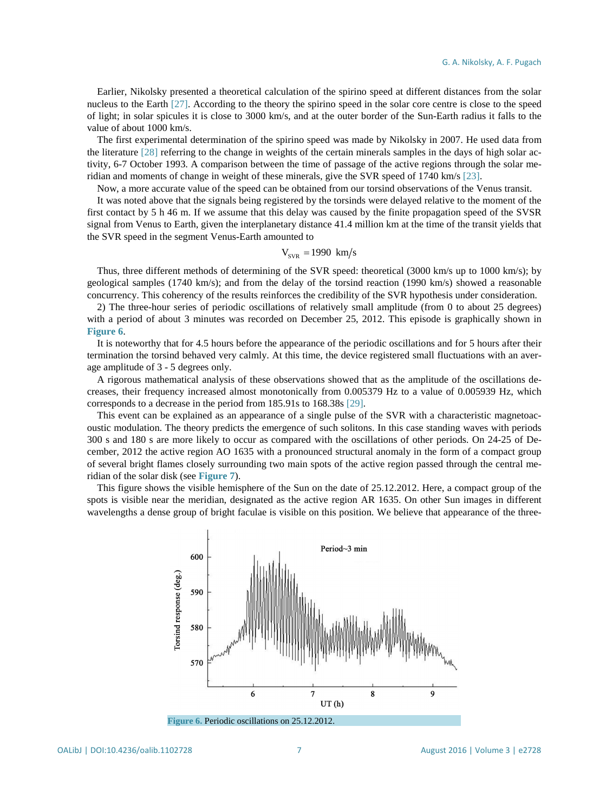Earlier, Nikolsky presented a theoretical calculation of the spirino speed at different distances from the solar nucleus to the Earth [\[27\].](#page-10-4) According to the theory the spirino speed in the solar core centre is close to the speed of light; in solar spicules it is close to 3000 km/s, and at the outer border of the Sun-Earth radius it falls to the value of about 1000 km/s.

The first experimental determination of the spirino speed was made by Nikolsky in 2007. He used data from the literature [\[28\]](#page-10-5) referring to the change in weights of the certain minerals samples in the days of high solar activity, 6-7 October 1993. A comparison between the time of passage of the active regions through the solar meridian and moments of change in weight of these minerals, give the SVR speed of 1740 km/s [\[23\].](#page-10-6)

Now, a more accurate value of the speed can be obtained from our torsind observations of the Venus transit.

It was noted above that the signals being registered by the torsinds were delayed relative to the moment of the first contact by 5 h 46 m. If we assume that this delay was caused by the finite propagation speed of the SVSR signal from Venus to Earth, given the interplanetary distance 41.4 million km at the time of the transit yields that the SVR speed in the segment Venus-Earth amounted to

#### $V_{\rm vvp} = 1990 \, \text{km/s}$

Thus, three different methods of determining of the SVR speed: theoretical (3000 km/s up to 1000 km/s); by geological samples (1740 km/s); and from the delay of the torsind reaction (1990 km/s) showed a reasonable concurrency. This coherency of the results reinforces the credibility of the SVR hypothesis under consideration.

2) The three-hour series of periodic oscillations of relatively small amplitude (from 0 to about 25 degrees) with a period of about 3 minutes was recorded on December 25, 2012. This episode is graphically shown in **[Figure](#page-6-0) 6**.

It is noteworthy that for 4.5 hours before the appearance of the periodic oscillations and for 5 hours after their termination the torsind behaved very calmly. At this time, the device registered small fluctuations with an average amplitude of 3 - 5 degrees only.

A rigorous mathematical analysis of these observations showed that as the amplitude of the oscillations decreases, their frequency increased almost monotonically from 0.005379 Hz to a value of 0.005939 Hz, which corresponds to a decrease in the period from 185.91s to 168.38s [\[29\].](#page-10-7)

This event can be explained as an appearance of a single pulse of the SVR with a characteristic magnetoacoustic modulation. The theory predicts the emergence of such solitons. In this case standing waves with periods 300 s and 180 s are more likely to occur as compared with the oscillations of other periods. On 24-25 of December, 2012 the active region AO 1635 with a pronounced structural anomaly in the form of a compact group of several bright flames closely surrounding two main spots of the active region passed through the central meridian of the solar disk (see **[Figure](#page-7-0) 7**).

<span id="page-6-0"></span>This figure shows the visible hemisphere of the Sun on the date of 25.12.2012. Here, a compact group of the spots is visible near the meridian, designated as the active region AR 1635. On other Sun images in different wavelengths a dense group of bright faculae is visible on this position. We believe that appearance of the three-



**Figure 6.** Periodic oscillations on 25.12.2012.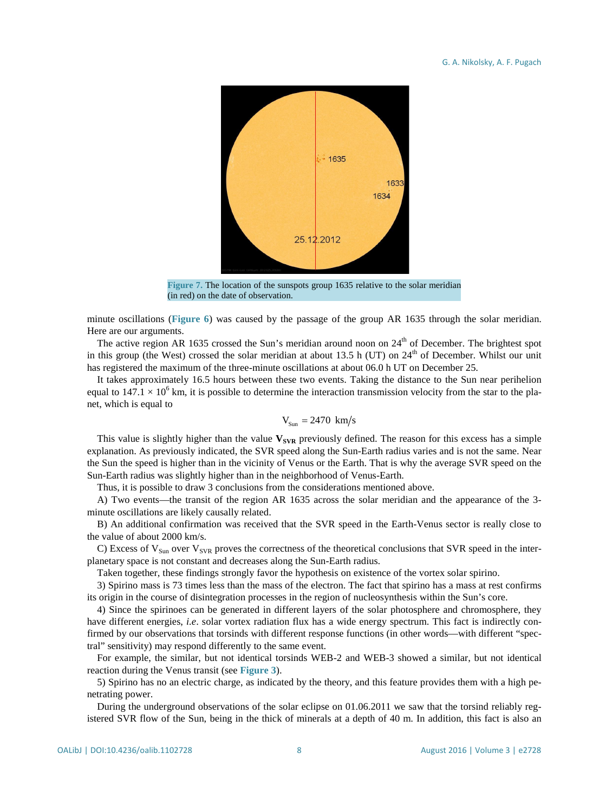<span id="page-7-0"></span>

**Figure 7.** The location of the sunspots group 1635 relative to the solar meridian (in red) on the date of observation.

minute oscillations (**[Figure 6](#page-6-0)**) was caused by the passage of the group AR 1635 through the solar meridian. Here are our arguments.

The active region AR 1635 crossed the Sun's meridian around noon on  $24<sup>th</sup>$  of December. The brightest spot in this group (the West) crossed the solar meridian at about 13.5 h (UT) on  $24<sup>th</sup>$  of December. Whilst our unit has registered the maximum of the three-minute oscillations at about 06.0 h UT on December 25.

It takes approximately 16.5 hours between these two events. Taking the distance to the Sun near perihelion equal to  $147.1 \times 10^6$  km, it is possible to determine the interaction transmission velocity from the star to the planet, which is equal to

$$
V_{Sun} = 2470 \text{ km/s}
$$

This value is slightly higher than the value  $V_{SVR}$  previously defined. The reason for this excess has a simple explanation. As previously indicated, the SVR speed along the Sun-Earth radius varies and is not the same. Near the Sun the speed is higher than in the vicinity of Venus or the Earth. That is why the average SVR speed on the Sun-Earth radius was slightly higher than in the neighborhood of Venus-Earth.

Thus, it is possible to draw 3 conclusions from the considerations mentioned above.

A) Two events—the transit of the region AR 1635 across the solar meridian and the appearance of the 3 minute oscillations are likely causally related.

B) An additional confirmation was received that the SVR speed in the Earth-Venus sector is really close to the value of about 2000 km/s.

C) Excess of  $V_{Sun}$  over  $V_{SVR}$  proves the correctness of the theoretical conclusions that SVR speed in the interplanetary space is not constant and decreases along the Sun-Earth radius.

Taken together, these findings strongly favor the hypothesis on existence of the vortex solar spirino.

3) Spirino mass is 73 times less than the mass of the electron. The fact that spirino has a mass at rest confirms its origin in the course of disintegration processes in the region of nucleosynthesis within the Sun's core.

4) Since the spirinoes can be generated in different layers of the solar photosphere and chromosphere, they have different energies, *i.e*. solar vortex radiation flux has a wide energy spectrum. This fact is indirectly confirmed by our observations that torsinds with different response functions (in other words—with different "spectral" sensitivity) may respond differently to the same event.

For example, the similar, but not identical torsinds WEB-2 and WEB-3 showed a similar, but not identical reaction during the Venus transit (see **[Figure](#page-4-0) 3**).

5) Spirino has no an electric charge, as indicated by the theory, and this feature provides them with a high penetrating power.

During the underground observations of the solar eclipse on 01.06.2011 we saw that the torsind reliably registered SVR flow of the Sun, being in the thick of minerals at a depth of 40 m. In addition, this fact is also an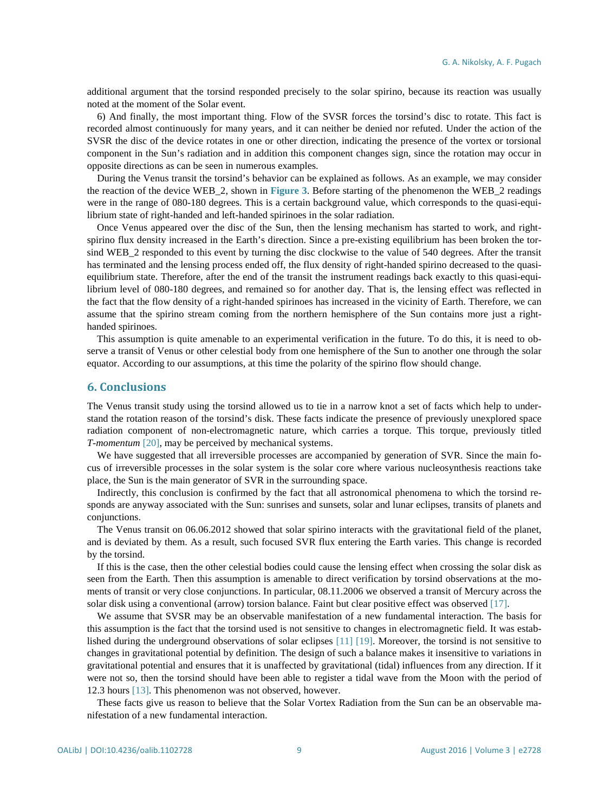additional argument that the torsind responded precisely to the solar spirino, because its reaction was usually noted at the moment of the Solar event.

6) And finally, the most important thing. Flow of the SVSR forces the torsind's disc to rotate. This fact is recorded almost continuously for many years, and it can neither be denied nor refuted. Under the action of the SVSR the disc of the device rotates in one or other direction, indicating the presence of the vortex or torsional component in the Sun's radiation and in addition this component changes sign, since the rotation may occur in opposite directions as can be seen in numerous examples.

During the Venus transit the torsind's behavior can be explained as follows. As an example, we may consider the reaction of the device WEB\_2, shown in **[Figure 3](#page-4-0)**. Before starting of the phenomenon the WEB\_2 readings were in the range of 080-180 degrees. This is a certain background value, which corresponds to the quasi-equilibrium state of right-handed and left-handed spirinoes in the solar radiation.

Once Venus appeared over the disc of the Sun, then the lensing mechanism has started to work, and rightspirino flux density increased in the Earth's direction. Since a pre-existing equilibrium has been broken the torsind WEB\_2 responded to this event by turning the disc clockwise to the value of 540 degrees. After the transit has terminated and the lensing process ended off, the flux density of right-handed spirino decreased to the quasiequilibrium state. Therefore, after the end of the transit the instrument readings back exactly to this quasi-equilibrium level of 080-180 degrees, and remained so for another day. That is, the lensing effect was reflected in the fact that the flow density of a right-handed spirinoes has increased in the vicinity of Earth. Therefore, we can assume that the spirino stream coming from the northern hemisphere of the Sun contains more just a righthanded spirinoes.

This assumption is quite amenable to an experimental verification in the future. To do this, it is need to observe a transit of Venus or other celestial body from one hemisphere of the Sun to another one through the solar equator. According to our assumptions, at this time the polarity of the spirino flow should change.

### **6. Conclusions**

The Venus transit study using the torsind allowed us to tie in a narrow knot a set of facts which help to understand the rotation reason of the torsind's disk. These facts indicate the presence of previously unexplored space radiation component of non-electromagnetic nature, which carries a torque. This torque, previously titled *T-momentum* [\[20\],](#page-10-0) may be perceived by mechanical systems.

We have suggested that all irreversible processes are accompanied by generation of SVR. Since the main focus of irreversible processes in the solar system is the solar core where various nucleosynthesis reactions take place, the Sun is the main generator of SVR in the surrounding space.

Indirectly, this conclusion is confirmed by the fact that all astronomical phenomena to which the torsind responds are anyway associated with the Sun: sunrises and sunsets, solar and lunar eclipses, transits of planets and conjunctions.

The Venus transit on 06.06.2012 showed that solar spirino interacts with the gravitational field of the planet, and is deviated by them. As a result, such focused SVR flux entering the Earth varies. This change is recorded by the torsind.

If this is the case, then the other celestial bodies could cause the lensing effect when crossing the solar disk as seen from the Earth. Then this assumption is amenable to direct verification by torsind observations at the moments of transit or very close conjunctions. In particular, 08.11.2006 we observed a transit of Mercury across the solar disk using a conventional (arrow) torsion balance. Faint but clear positive effect was observed [\[17\].](#page-9-10)

We assume that SVSR may be an observable manifestation of a new fundamental interaction. The basis for this assumption is the fact that the torsind used is not sensitive to changes in electromagnetic field. It was established during the underground observations of solar eclipses [\[11\]](#page-9-5) [\[19\].](#page-9-9) Moreover, the torsind is not sensitive to changes in gravitational potential by definition. The design of such a balance makes it insensitive to variations in gravitational potential and ensures that it is unaffected by gravitational (tidal) influences from any direction. If it were not so, then the torsind should have been able to register a tidal wave from the Moon with the period of 12.3 hours [\[13\].](#page-9-7) This phenomenon was not observed, however.

These facts give us reason to believe that the Solar Vortex Radiation from the Sun can be an observable manifestation of a new fundamental interaction.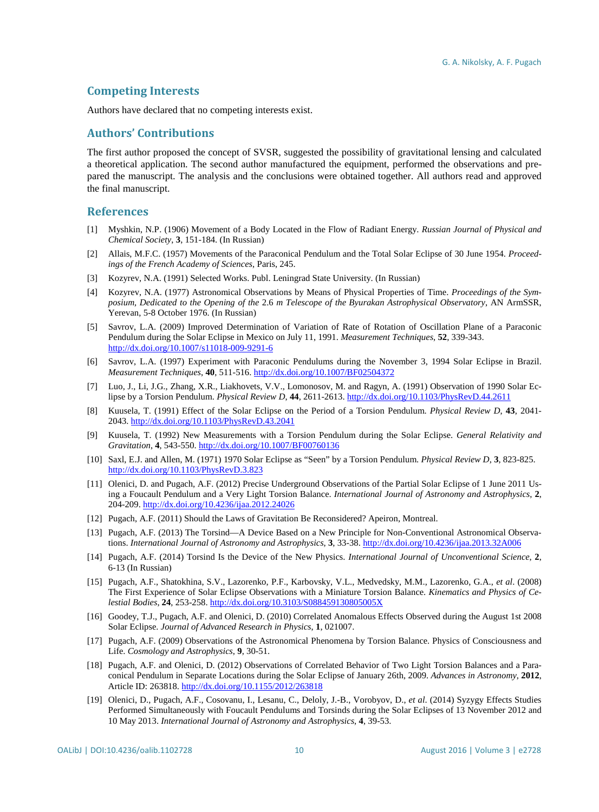## **Competing Interests**

Authors have declared that no competing interests exist.

## **Authors' Contributions**

The first author proposed the concept of SVSR, suggested the possibility of gravitational lensing and calculated a theoretical application. The second author manufactured the equipment, performed the observations and prepared the manuscript. The analysis and the conclusions were obtained together. All authors read and approved the final manuscript.

## **References**

- <span id="page-9-0"></span>[1] Myshkin, N.P. (1906) Movement of a Body Located in the Flow of Radiant Energy. *Russian Journal of Physical and Chemical Society*, **3**, 151-184. (In Russian)
- <span id="page-9-1"></span>[2] Allais, M.F.C. (1957) Movements of the Paraconical Pendulum and the Total Solar Eclipse of 30 June 1954. *Proceedings of the French Academy of Sciences*, Paris, 245.
- <span id="page-9-2"></span>[3] Kozyrev, N.A. (1991) Selected Works. Publ. Leningrad State University. (In Russian)
- <span id="page-9-3"></span>[4] Kozyrev, N.A. (1977) Astronomical Observations by Means of Physical Properties of Time. *Proceedings of the Symposium, Dedicated to the Opening of the* 2.6 *m Telescope of the Byurakan Astrophysical Observatory*, AN ArmSSR, Yerevan, 5-8 October 1976. (In Russian)
- <span id="page-9-4"></span>[5] Savrov, L.A. (2009) Improved Determination of Variation of Rate of Rotation of Oscillation Plane of a Paraconic Pendulum during the Solar Eclipse in Mexico on July 11, 1991. *Measurement Techniques*, **52**, 339-343. <http://dx.doi.org/10.1007/s11018-009-9291-6>
- [6] Savrov, L.A. (1997) Experiment with Paraconic Pendulums during the November 3, 1994 Solar Eclipse in Brazil. *Measurement Techniques*, **40**, 511-516[. http://dx.doi.org/10.1007/BF02504372](http://dx.doi.org/10.1007/BF02504372)
- [7] Luo, J., Li, J.G., Zhang, X.R., Liakhovets, V.V., Lomonosov, M. and Ragyn, A. (1991) Observation of 1990 Solar Eclipse by a Torsion Pendulum. *Physical Review D*, **44**, 2611-2613. <http://dx.doi.org/10.1103/PhysRevD.44.2611>
- [8] Kuusela, T. (1991) Effect of the Solar Eclipse on the Period of a Torsion Pendulum. *Physical Review D*, **43**, 2041- 2043[. http://dx.doi.org/10.1103/PhysRevD.43.2041](http://dx.doi.org/10.1103/PhysRevD.43.2041)
- [9] Kuusela, T. (1992) New Measurements with a Torsion Pendulum during the Solar Eclipse. *General Relativity and Gravitation*, **4**, 543-550[. http://dx.doi.org/10.1007/BF00760136](http://dx.doi.org/10.1007/BF00760136)
- [10] Saxl, E.J. and Allen, M. (1971) 1970 Solar Eclipse as "Seen" by a Torsion Pendulum. *Physical Review D*, **3**, 823-825. <http://dx.doi.org/10.1103/PhysRevD.3.823>
- <span id="page-9-5"></span>[11] Olenici, D. and Pugach, A.F. (2012) Precise Underground Observations of the Partial Solar Eclipse of 1 June 2011 Using a Foucault Pendulum and a Very Light Torsion Balance. *International Journal of Astronomy and Astrophysics*, **2**, 204-209[. http://dx.doi.org/10.4236/ijaa.2012.24026](http://dx.doi.org/10.4236/ijaa.2012.24026)
- <span id="page-9-6"></span>[12] Pugach, A.F. (2011) Should the Laws of Gravitation Be Reconsidered? Apeiron, Montreal.
- <span id="page-9-7"></span>[13] Pugach, A.F. (2013) The Torsind—A Device Based on a New Principle for Non-Conventional Astronomical Observations. *International Journal of Astronomy and Astrophysics*, **3**, 33-38.<http://dx.doi.org/10.4236/ijaa.2013.32A006>
- <span id="page-9-8"></span>[14] Pugach, A.F. (2014) Torsind Is the Device of the New Physics. *International Journal of Unconventional Science*, **2**, 6-13 (In Russian)
- [15] Pugach, A.F., Shatokhina, S.V., Lazorenko, P.F., Karbovsky, V.L., Medvedsky, M.M., Lazorenko, G.A., *et al*. (2008) The First Experience of Solar Eclipse Observations with a Miniature Torsion Balance. *Kinematics and Physics of Celestial Bodies*, **24**, 253-258. <http://dx.doi.org/10.3103/S088459130805005X>
- [16] Goodey, T.J., Pugach, A.F. and Olenici, D. (2010) Correlated Anomalous Effects Observed during the August 1st 2008 Solar Eclipse. *Journal of Advanced Research in Physics*, **1**, 021007.
- <span id="page-9-10"></span>[17] Pugach, A.F. (2009) Observations of the Astronomical Phenomena by Torsion Balance. Physics of Consciousness and Life. *Cosmology and Astrophysics*, **9**, 30-51.
- [18] Pugach, A.F. and Olenici, D. (2012) Observations of Correlated Behavior of Two Light Torsion Balances and a Paraconical Pendulum in Separate Locations during the Solar Eclipse of January 26th, 2009. *Advances in Astronomy*, **2012**, Article ID: 263818. <http://dx.doi.org/10.1155/2012/263818>
- <span id="page-9-9"></span>[19] Olenici, D., Pugach, A.F., Cosovanu, I., Lesanu, C., Deloly, J.-B., Vorobyov, D., *et al*. (2014) Syzygy Effects Studies Performed Simultaneously with Foucault Pendulums and Torsinds during the Solar Eclipses of 13 November 2012 and 10 May 2013. *International Journal of Astronomy and Astrophysics*, **4**, 39-53.